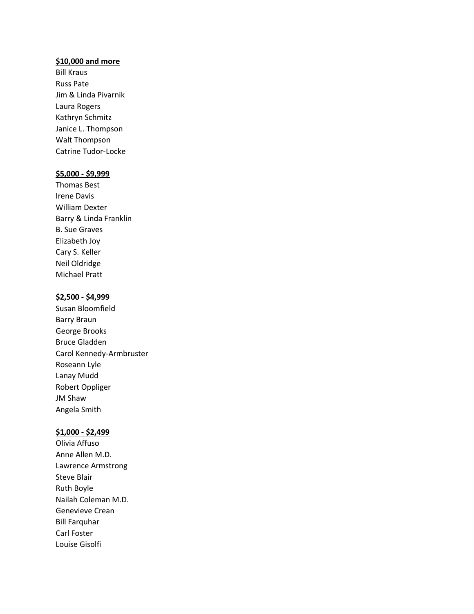### **\$10,000 and more**

Bill Kraus Russ Pate Jim & Linda Pivarnik Laura Rogers Kathryn Schmitz Janice L. Thompson Walt Thompson Catrine Tudor-Locke

## **\$5,000 - \$9,999**

Thomas Best Irene Davis William Dexter Barry & Linda Franklin B. Sue Graves Elizabeth Joy Cary S. Keller Neil Oldridge Michael Pratt

### **\$2,500 - \$4,999**

Susan Bloomfield Barry Braun George Brooks Bruce Gladden Carol Kennedy-Armbruster Roseann Lyle Lanay Mudd Robert Oppliger JM Shaw Angela Smith

# **\$1,000 - \$2,499**

Olivia Affuso Anne Allen M.D. Lawrence Armstrong Steve Blair Ruth Boyle Nailah Coleman M.D. Genevieve Crean Bill Farquhar Carl Foster Louise Gisolfi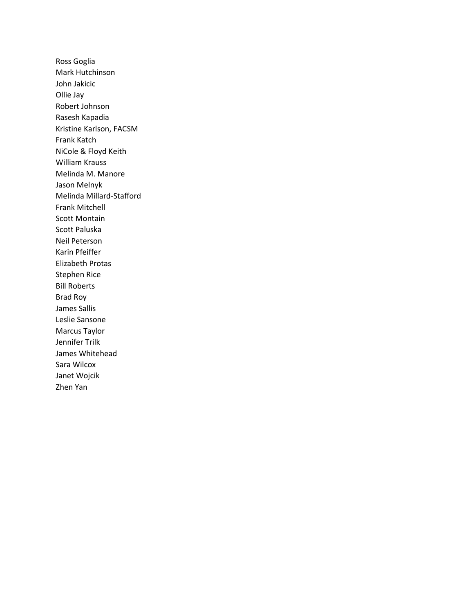Ross Goglia Mark Hutchinson John Jakicic Ollie Jay Robert Johnson Rasesh Kapadia Kristine Karlson, FACSM Frank Katch NiCole & Floyd Keith William Krauss Melinda M. Manore Jason Melnyk Melinda Millard-Stafford Frank Mitchell Scott Montain Scott Paluska Neil Peterson Karin Pfeiffer Elizabeth Protas Stephen Rice Bill Roberts Brad Roy James Sallis Leslie Sansone Marcus Taylor Jennifer Trilk James Whitehead Sara Wilcox Janet Wojcik Zhen Yan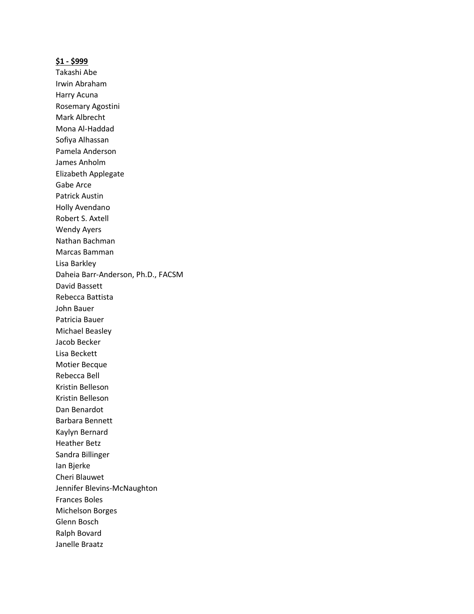#### **\$1 - \$999**

Takashi Abe Irwin Abraham Harry Acuna Rosemary Agostini Mark Albrecht Mona Al-Haddad Sofiya Alhassan Pamela Anderson James Anholm Elizabeth Applegate Gabe Arce Patrick Austin Holly Avendano Robert S. Axtell Wendy Ayers Nathan Bachman Marcas Bamman Lisa Barkley Daheia Barr-Anderson, Ph.D., FACSM David Bassett Rebecca Battista John Bauer Patricia Bauer Michael Beasley Jacob Becker Lisa Beckett Motier Becque Rebecca Bell Kristin Belleson Kristin Belleson Dan Benardot Barbara Bennett Kaylyn Bernard Heather Betz Sandra Billinger Ian Bjerke Cheri Blauwet Jennifer Blevins-McNaughton Frances Boles Michelson Borges Glenn Bosch Ralph Bovard Janelle Braatz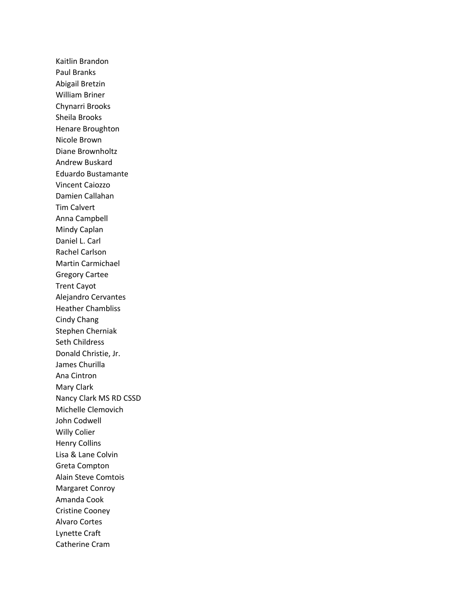Kaitlin Brandon Paul Branks Abigail Bretzin William Briner Chynarri Brooks Sheila Brooks Henare Broughton Nicole Brown Diane Brownholtz Andrew Buskard Eduardo Bustamante Vincent Caiozzo Damien Callahan Tim Calvert Anna Campbell Mindy Caplan Daniel L. Carl Rachel Carlson Martin Carmichael Gregory Cartee Trent Cayot Alejandro Cervantes Heather Chambliss Cindy Chang Stephen Cherniak Seth Childress Donald Christie, Jr. James Churilla Ana Cintron Mary Clark Nancy Clark MS RD CSSD Michelle Clemovich John Codwell Willy Colier Henry Collins Lisa & Lane Colvin Greta Compton Alain Steve Comtois Margaret Conroy Amanda Cook Cristine Cooney Alvaro Cortes Lynette Craft Catherine Cram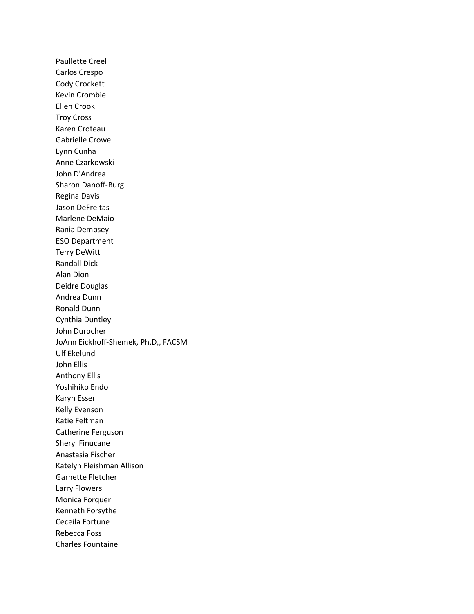Paullette Creel Carlos Crespo Cody Crockett Kevin Crombie Ellen Crook Troy Cross Karen Croteau Gabrielle Crowell Lynn Cunha Anne Czarkowski John D'Andrea Sharon Danoff-Burg Regina Davis Jason DeFreitas Marlene DeMaio Rania Dempsey ESO Department Terry DeWitt Randall Dick Alan Dion Deidre Douglas Andrea Dunn Ronald Dunn Cynthia Duntley John Durocher JoAnn Eickhoff-Shemek, Ph,D,, FACSM Ulf Ekelund John Ellis Anthony Ellis Yoshihiko Endo Karyn Esser Kelly Evenson Katie Feltman Catherine Ferguson Sheryl Finucane Anastasia Fischer Katelyn Fleishman Allison Garnette Fletcher Larry Flowers Monica Forquer Kenneth Forsythe Ceceila Fortune Rebecca Foss Charles Fountaine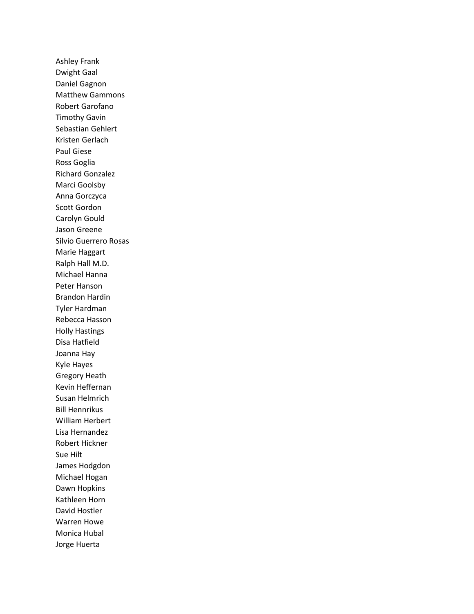Ashley Frank Dwight Gaal Daniel Gagnon Matthew Gammons Robert Garofano Timothy Gavin Sebastian Gehlert Kristen Gerlach Paul Giese Ross Goglia Richard Gonzalez Marci Goolsby Anna Gorczyca Scott Gordon Carolyn Gould Jason Greene Silvio Guerrero Rosas Marie Haggart Ralph Hall M.D. Michael Hanna Peter Hanson Brandon Hardin Tyler Hardman Rebecca Hasson Holly Hastings Disa Hatfield Joanna Hay Kyle Hayes Gregory Heath Kevin Heffernan Susan Helmrich Bill Hennrikus William Herbert Lisa Hernandez Robert Hickner Sue Hilt James Hodgdon Michael Hogan Dawn Hopkins Kathleen Horn David Hostler Warren Howe Monica Hubal Jorge Huerta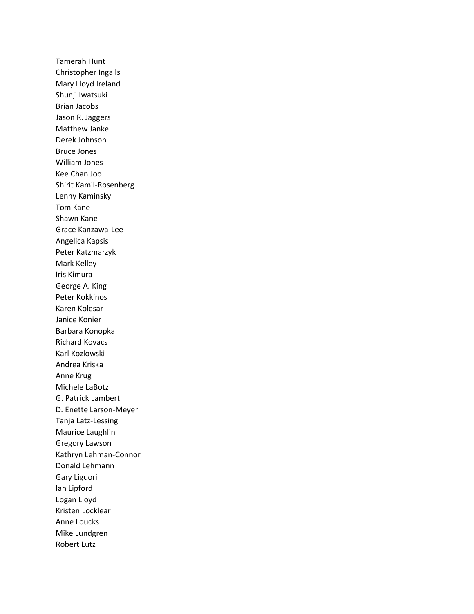Tamerah Hunt Christopher Ingalls Mary Lloyd Ireland Shunji Iwatsuki Brian Jacobs Jason R. Jaggers Matthew Janke Derek Johnson Bruce Jones William Jones Kee Chan Joo Shirit Kamil-Rosenberg Lenny Kaminsky Tom Kane Shawn Kane Grace Kanzawa-Lee Angelica Kapsis Peter Katzmarzyk Mark Kelley Iris Kimura George A. King Peter Kokkinos Karen Kolesar Janice Konier Barbara Konopka Richard Kovacs Karl Kozlowski Andrea Kriska Anne Krug Michele LaBotz G. Patrick Lambert D. Enette Larson-Meyer Tanja Latz-Lessing Maurice Laughlin Gregory Lawson Kathryn Lehman-Connor Donald Lehmann Gary Liguori Ian Lipford Logan Lloyd Kristen Locklear Anne Loucks Mike Lundgren Robert Lutz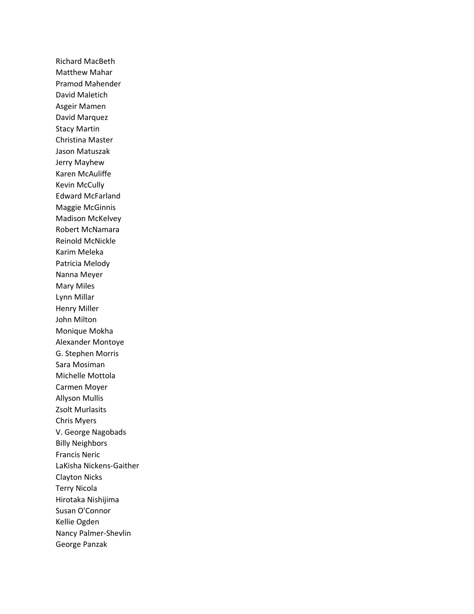Richard MacBeth Matthew Mahar Pramod Mahender David Maletich Asgeir Mamen David Marquez Stacy Martin Christina Master Jason Matuszak Jerry Mayhew Karen McAuliffe Kevin McCully Edward McFarland Maggie McGinnis Madison McKelvey Robert McNamara Reinold McNickle Karim Meleka Patricia Melody Nanna Meyer Mary Miles Lynn Millar Henry Miller John Milton Monique Mokha Alexander Montoye G. Stephen Morris Sara Mosiman Michelle Mottola Carmen Moyer Allyson Mullis Zsolt Murlasits Chris Myers V. George Nagobads Billy Neighbors Francis Neric LaKisha Nickens-Gaither Clayton Nicks Terry Nicola Hirotaka Nishijima Susan O'Connor Kellie Ogden Nancy Palmer-Shevlin George Panzak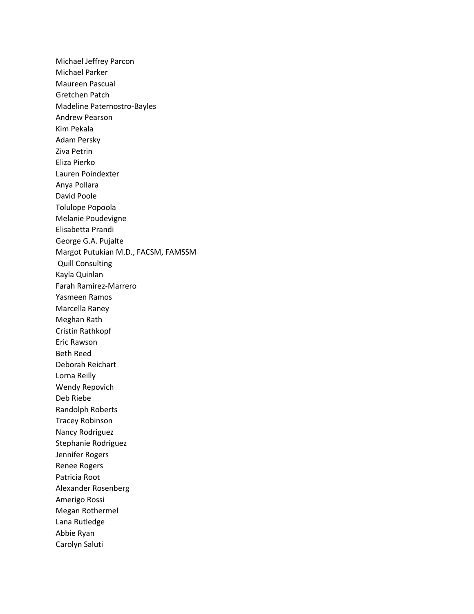Michael Jeffrey Parcon Michael Parker Maureen Pascual Gretchen Patch Madeline Paternostro-Bayles Andrew Pearson Kim Pekala Adam Persky Ziva Petrin Eliza Pierko Lauren Poindexter Anya Pollara David Poole Tolulope Popoola Melanie Poudevigne Elisabetta Prandi George G.A. Pujalte Margot Putukian M.D., FACSM, FAMSSM Quill Consulting Kayla Quinlan Farah Ramirez-Marrero Yasmeen Ramos Marcella Raney Meghan Rath Cristin Rathkopf Eric Rawson Beth Reed Deborah Reichart Lorna Reilly Wendy Repovich Deb Riebe Randolph Roberts Tracey Robinson Nancy Rodriguez Stephanie Rodriguez Jennifer Rogers Renee Rogers Patricia Root Alexander Rosenberg Amerigo Rossi Megan Rothermel Lana Rutledge Abbie Ryan Carolyn Saluti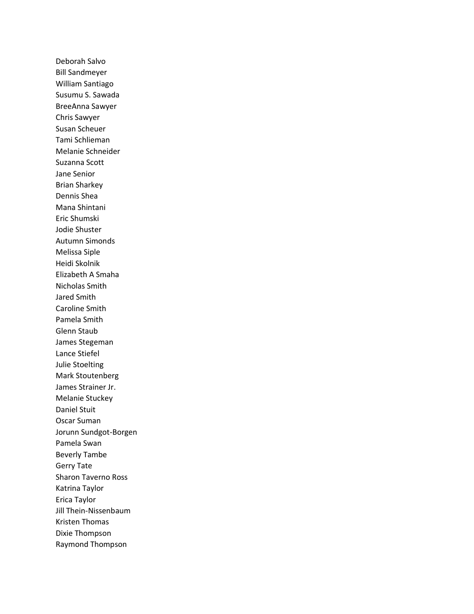Deborah Salvo Bill Sandmeyer William Santiago Susumu S. Sawada BreeAnna Sawyer Chris Sawyer Susan Scheuer Tami Schlieman Melanie Schneider Suzanna Scott Jane Senior Brian Sharkey Dennis Shea Mana Shintani Eric Shumski Jodie Shuster Autumn Simonds Melissa Siple Heidi Skolnik Elizabeth A Smaha Nicholas Smith Jared Smith Caroline Smith Pamela Smith Glenn Staub James Stegeman Lance Stiefel Julie Stoelting Mark Stoutenberg James Strainer Jr. Melanie Stuckey Daniel Stuit Oscar Suman Jorunn Sundgot-Borgen Pamela Swan Beverly Tambe Gerry Tate Sharon Taverno Ross Katrina Taylor Erica Taylor Jill Thein-Nissenbaum Kristen Thomas Dixie Thompson Raymond Thompson